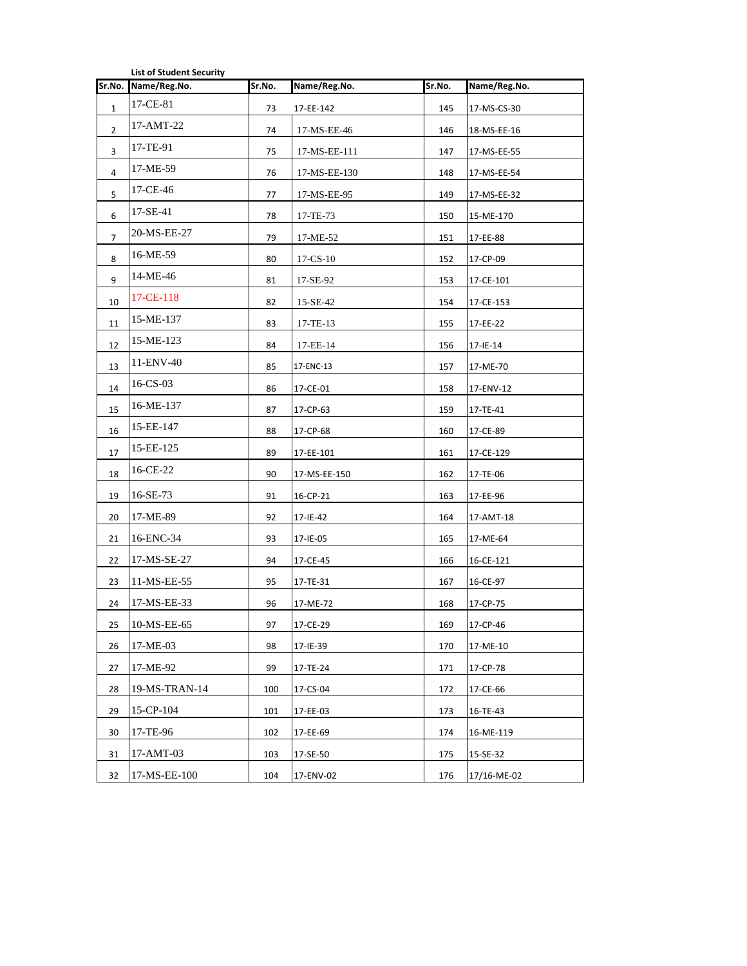| Sr.No.<br>Sr.No.<br>Name/Reg.No.<br>Sr.No.<br>Name/Reg.No.<br>Name/Reg.No.<br>17-CE-81<br>$\mathbf{1}$<br>73<br>17-EE-142<br>145<br>17-MS-CS-30<br>17-AMT-22<br>$\overline{2}$<br>74<br>17-MS-EE-46<br>146<br>18-MS-EE-16<br>17-TE-91<br>3<br>75<br>17-MS-EE-111<br>147<br>17-MS-EE-55<br>17-ME-59<br>4<br>76<br>17-MS-EE-130<br>148<br>17-MS-EE-54 |  |
|-----------------------------------------------------------------------------------------------------------------------------------------------------------------------------------------------------------------------------------------------------------------------------------------------------------------------------------------------------|--|
|                                                                                                                                                                                                                                                                                                                                                     |  |
|                                                                                                                                                                                                                                                                                                                                                     |  |
|                                                                                                                                                                                                                                                                                                                                                     |  |
|                                                                                                                                                                                                                                                                                                                                                     |  |
|                                                                                                                                                                                                                                                                                                                                                     |  |
| 17-CE-46<br>5<br>17-MS-EE-95<br>149<br>77<br>17-MS-EE-32                                                                                                                                                                                                                                                                                            |  |
| $17-SE-41$<br>6<br>78<br>17-TE-73<br>150<br>15-ME-170                                                                                                                                                                                                                                                                                               |  |
| 20-MS-EE-27<br>79<br>17-ME-52<br>151<br>7<br>17-EE-88                                                                                                                                                                                                                                                                                               |  |
| 16-ME-59<br>8<br>80<br>$17 - CS - 10$<br>152<br>17-CP-09                                                                                                                                                                                                                                                                                            |  |
| 14-ME-46<br>17-SE-92<br>9<br>81<br>153<br>17-CE-101                                                                                                                                                                                                                                                                                                 |  |
| 17-CE-118<br>10<br>82<br>15-SE-42<br>154<br>17-CE-153                                                                                                                                                                                                                                                                                               |  |
| 15-ME-137<br>11<br>83<br>17-TE-13<br>155<br>17-EE-22                                                                                                                                                                                                                                                                                                |  |
| 15-ME-123<br>12<br>84<br>17-EE-14<br>156<br>$17 - 1E - 14$                                                                                                                                                                                                                                                                                          |  |
| 11-ENV-40<br>13<br>17-ENC-13<br>157<br>85<br>17-ME-70                                                                                                                                                                                                                                                                                               |  |
| $16$ -CS-03<br>14<br>17-CE-01<br>158<br>17-ENV-12<br>86                                                                                                                                                                                                                                                                                             |  |
| 16-ME-137<br>15<br>87<br>17-CP-63<br>159<br>17-TE-41                                                                                                                                                                                                                                                                                                |  |
| 15-EE-147<br>16<br>17-CP-68<br>88<br>160<br>17-CE-89                                                                                                                                                                                                                                                                                                |  |
| 15-EE-125<br>17<br>89<br>17-EE-101<br>161<br>17-CE-129                                                                                                                                                                                                                                                                                              |  |
| 16-CE-22<br>18<br>90<br>162<br>17-MS-EE-150<br>17-TE-06                                                                                                                                                                                                                                                                                             |  |
| 16-SE-73<br>19<br>91<br>16-CP-21<br>163<br>17-EE-96                                                                                                                                                                                                                                                                                                 |  |
| 17-ME-89<br>20<br>92<br>17-IE-42<br>164<br>17-AMT-18                                                                                                                                                                                                                                                                                                |  |
| 16-ENC-34<br>21<br>93<br>17-IE-05<br>165<br>17-ME-64                                                                                                                                                                                                                                                                                                |  |
| 17-MS-SE-27<br>22<br>94<br>17-CE-45<br>166<br>16-CE-121                                                                                                                                                                                                                                                                                             |  |
| 11-MS-EE-55<br>23<br>95<br>17-TE-31<br>167<br>16-CE-97                                                                                                                                                                                                                                                                                              |  |
| 17-MS-EE-33<br>24<br>96<br>168<br>17-ME-72<br>17-CP-75                                                                                                                                                                                                                                                                                              |  |
| 10-MS-EE-65<br>25<br>97<br>17-CE-29<br>169<br>17-CP-46                                                                                                                                                                                                                                                                                              |  |
| 17-ME-03<br>98<br>26<br>170<br>17-IE-39<br>17-ME-10                                                                                                                                                                                                                                                                                                 |  |
| 17-ME-92<br>99<br>27<br>17-TE-24<br>171<br>17-CP-78                                                                                                                                                                                                                                                                                                 |  |
| 19-MS-TRAN-14<br>28<br>100<br>17-CS-04<br>172<br>17-CE-66                                                                                                                                                                                                                                                                                           |  |
| 15-CP-104<br>29<br>17-EE-03<br>16-TE-43<br>101<br>173                                                                                                                                                                                                                                                                                               |  |
| 17-TE-96<br>30<br>102<br>17-EE-69<br>174<br>16-ME-119                                                                                                                                                                                                                                                                                               |  |
| 17-AMT-03<br>31<br>103<br>17-SE-50<br>175<br>15-SE-32                                                                                                                                                                                                                                                                                               |  |
| 17-MS-EE-100<br>32<br>104<br>17-ENV-02<br>176<br>17/16-ME-02                                                                                                                                                                                                                                                                                        |  |